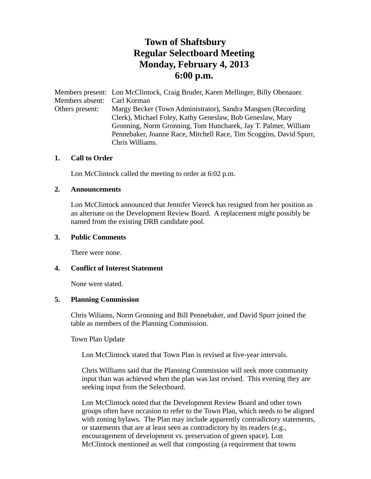# **Town of Shaftsbury Regular Selectboard Meeting Monday, February 4, 2013 6:00 p.m.**

Members present: Lon McClintock, Craig Bruder, Karen Mellinger, Billy Obenauer. Members absent: Carl Korman Others present: Margy Becker (Town Administrator), Sandra Mangsen (Recording Clerk), Michael Foley, Kathy Geneslaw, Bob Geneslaw, Mary Gronning, Norm Gronning, Tom Huncharek, Jay T. Palmer, William Pennebaker, Joanne Race, Mitchell Race, Tim Scoggins, David Spurr, Chris Williams.

### **1. Call to Order**

Lon McClintock called the meeting to order at 6:02 p.m.

#### **2. Announcements**

Lon McClintock announced that Jennifer Viereck has resigned from her position as an alternate on the Development Review Board. A replacement might possibly be named from the existing DRB candidate pool.

#### **3. Public Comments**

There were none.

### **4. Conflict of Interest Statement**

None were stated.

### **5. Planning Commission**

Chris Wiliams, Norm Gronning and Bill Pennebaker, and David Spurr joined the table as members of the Planning Commission.

Town Plan Update

Lon McClintock stated that Town Plan is revised at five-year intervals.

Chris Williams said that the Planning Commission will seek more community input than was achieved when the plan was last revised. This evening they are seeking input from the Selectboard.

Lon McClintock noted that the Development Review Board and other town groups often have occasion to refer to the Town Plan, which needs to be aligned with zoning bylaws. The Plan may include apparently contradictory statements, or statements that are at least seen as contradictory by its readers (e.g., encouragement of development vs. preservation of green space). Lon McClintock mentioned as well that composting (a requirement that towns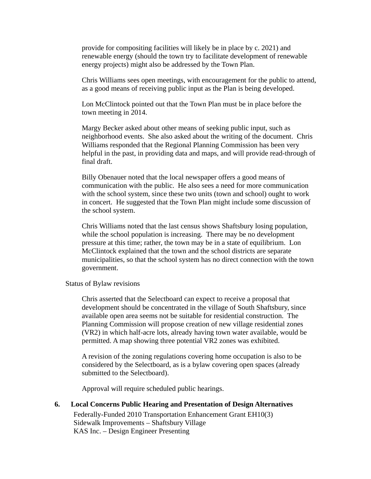provide for compositing facilities will likely be in place by c. 2021) and renewable energy (should the town try to facilitate development of renewable energy projects) might also be addressed by the Town Plan.

Chris Williams sees open meetings, with encouragement for the public to attend, as a good means of receiving public input as the Plan is being developed.

Lon McClintock pointed out that the Town Plan must be in place before the town meeting in 2014.

Margy Becker asked about other means of seeking public input, such as neighborhood events. She also asked about the writing of the document. Chris Williams responded that the Regional Planning Commission has been very helpful in the past, in providing data and maps, and will provide read-through of final draft.

Billy Obenauer noted that the local newspaper offers a good means of communication with the public. He also sees a need for more communication with the school system, since these two units (town and school) ought to work in concert. He suggested that the Town Plan might include some discussion of the school system.

Chris Williams noted that the last census shows Shaftsbury losing population, while the school population is increasing. There may be no development pressure at this time; rather, the town may be in a state of equilibrium. Lon McClintock explained that the town and the school districts are separate municipalities, so that the school system has no direct connection with the town government.

Status of Bylaw revisions

Chris asserted that the Selectboard can expect to receive a proposal that development should be concentrated in the village of South Shaftsbury, since available open area seems not be suitable for residential construction. The Planning Commission will propose creation of new village residential zones (VR2) in which half-acre lots, already having town water available, would be permitted. A map showing three potential VR2 zones was exhibited.

A revision of the zoning regulations covering home occupation is also to be considered by the Selectboard, as is a bylaw covering open spaces (already submitted to the Selectboard).

Approval will require scheduled public hearings.

**6. Local Concerns Public Hearing and Presentation of Design Alternatives** Federally-Funded 2010 Transportation Enhancement Grant EH10(3) Sidewalk Improvements – Shaftsbury Village KAS Inc. – Design Engineer Presenting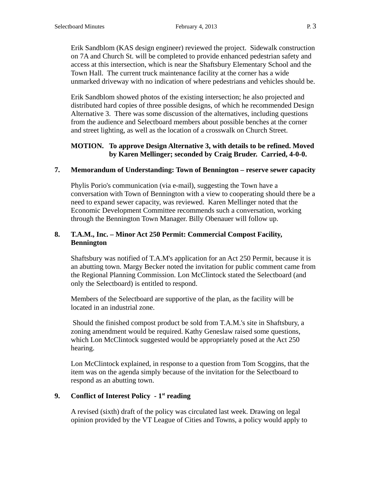Erik Sandblom (KAS design engineer) reviewed the project. Sidewalk construction on 7A and Church St. will be completed to provide enhanced pedestrian safety and access at this intersection, which is near the Shaftsbury Elementary School and the Town Hall. The current truck maintenance facility at the corner has a wide unmarked driveway with no indication of where pedestrians and vehicles should be.

Erik Sandblom showed photos of the existing intersection; he also projected and distributed hard copies of three possible designs, of which he recommended Design Alternative 3. There was some discussion of the alternatives, including questions from the audience and Selectboard members about possible benches at the corner and street lighting, as well as the location of a crosswalk on Church Street.

# **MOTION. To approve Design Alternative 3, with details to be refined. Moved by Karen Mellinger; seconded by Craig Bruder. Carried, 4-0-0.**

### **7. Memorandum of Understanding: Town of Bennington – reserve sewer capacity**

Phylis Porio's communication (via e-mail), suggesting the Town have a conversation with Town of Bennington with a view to cooperating should there be a need to expand sewer capacity, was reviewed. Karen Mellinger noted that the Economic Development Committee recommends such a conversation, working through the Bennington Town Manager. Billy Obenauer will follow up.

# **8. T.A.M., Inc. – Minor Act 250 Permit: Commercial Compost Facility, Bennington**

Shaftsbury was notified of T.A.M's application for an Act 250 Permit, because it is an abutting town. Margy Becker noted the invitation for public comment came from the Regional Planning Commission. Lon McClintock stated the Selectboard (and only the Selectboard) is entitled to respond.

Members of the Selectboard are supportive of the plan, as the facility will be located in an industrial zone.

 Should the finished compost product be sold from T.A.M.'s site in Shaftsbury, a zoning amendment would be required. Kathy Geneslaw raised some questions, which Lon McClintock suggested would be appropriately posed at the Act 250 hearing.

Lon McClintock explained, in response to a question from Tom Scoggins, that the item was on the agenda simply because of the invitation for the Selectboard to respond as an abutting town.

# **9. Conflict of Interest Policy - 1st reading**

A revised (sixth) draft of the policy was circulated last week. Drawing on legal opinion provided by the VT League of Cities and Towns, a policy would apply to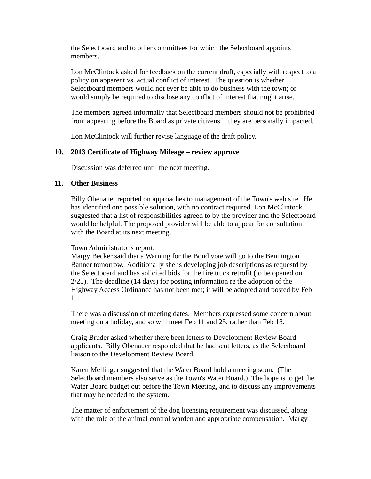the Selectboard and to other committees for which the Selectboard appoints members.

Lon McClintock asked for feedback on the current draft, especially with respect to a policy on apparent vs. actual conflict of interest. The question is whether Selectboard members would not ever be able to do business with the town; or would simply be required to disclose any conflict of interest that might arise.

The members agreed informally that Selectboard members should not be prohibited from appearing before the Board as private citizens if they are personally impacted.

Lon McClintock will further revise language of the draft policy.

### **10. 2013 Certificate of Highway Mileage – review approve**

Discussion was deferred until the next meeting.

### **11. Other Business**

Billy Obenauer reported on approaches to management of the Town's web site. He has identified one possible solution, with no contract required. Lon McClintock suggested that a list of responsibilities agreed to by the provider and the Selectboard would be helpful. The proposed provider will be able to appear for consultation with the Board at its next meeting.

### Town Administrator's report.

Margy Becker said that a Warning for the Bond vote will go to the Bennington Banner tomorrow. Additionally she is developing job descriptions as requestd by the Selectboard and has solicited bids for the fire truck retrofit (to be opened on 2/25). The deadline (14 days) for posting information re the adoption of the Highway Access Ordinance has not been met; it will be adopted and posted by Feb 11.

There was a discussion of meeting dates. Members expressed some concern about meeting on a holiday, and so will meet Feb 11 and 25, rather than Feb 18.

Craig Bruder asked whether there been letters to Development Review Board applicants. Billy Obenauer responded that he had sent letters, as the Selectboard liaison to the Development Review Board.

Karen Mellinger suggested that the Water Board hold a meeting soon. (The Selectboard members also serve as the Town's Water Board.) The hope is to get the Water Board budget out before the Town Meeting, and to discuss any improvements that may be needed to the system.

The matter of enforcement of the dog licensing requirement was discussed, along with the role of the animal control warden and appropriate compensation. Margy